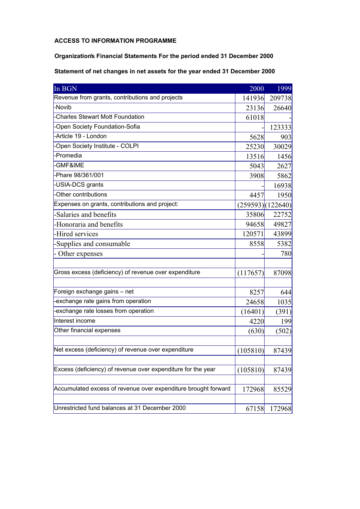## **ACCESS TO INFORMATION PROGRAMME**

## **Organization's Financial Statements For the period ended 31 December 2000**

## **Statement of net changes in net assets for the year ended 31 December 2000**

| In BGN                                                         | 2000             | 1999   |
|----------------------------------------------------------------|------------------|--------|
| Revenue from grants, contributions and projects                | 141936           | 209738 |
| -Novib                                                         | 23136            | 26640  |
| -Charles Stewart Mott Foundation                               | 61018            |        |
| -Open Society Foundation-Sofia                                 |                  | 123333 |
| -Article 19 - London                                           | 5628             | 903    |
| -Open Society Institute - COLPI                                | 25230            | 30029  |
| -Promedia                                                      | 13516            | 1456   |
| -GMF&IME                                                       | 5043             | 2627   |
| -Phare 98/361/001                                              | 3908             | 5862   |
| -USIA-DCS grants                                               |                  | 16938  |
| -Other contributions                                           | 4457             | 1950   |
| Expenses on grants, contributions and project:                 | (259593)(122640) |        |
| -Salaries and benefits                                         | 35806            | 22752  |
| -Honoraria and benefits                                        | 94658            | 49827  |
| -Hired services                                                | 120571           | 43899  |
| -Supplies and consumable                                       | 8558             | 5382   |
| - Other expenses                                               |                  | 780    |
| Gross excess (deficiency) of revenue over expenditure          | (117657)         | 87098  |
| Foreign exchange gains - net                                   | 8257             | 644    |
| -exchange rate gains from operation                            | 24658            | 1035   |
| -exchange rate losses from operation                           | (16401)          | (391)  |
| Interest income                                                | 4220             | 199    |
| Other financial expenses                                       | (630)            | (502)  |
| Net excess (deficiency) of revenue over expenditure            | (105810)         | 87439  |
| Excess (deficiency) of revenue over expenditure for the year   | (105810)         | 87439  |
| Accumulated excess of revenue over expenditure brought forward | 172968           | 85529  |
| Unrestricted fund balances at 31 December 2000                 | 67158            | 172968 |